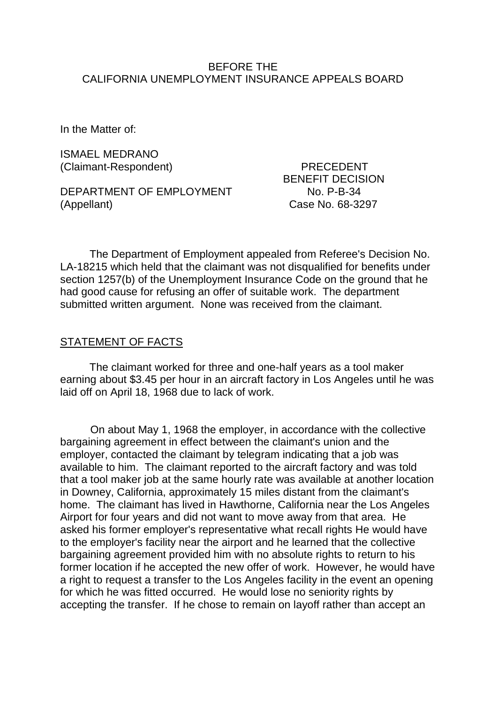### BEFORE THE CALIFORNIA UNEMPLOYMENT INSURANCE APPEALS BOARD

In the Matter of:

ISMAEL MEDRANO (Claimant-Respondent) PRECEDENT

DEPARTMENT OF EMPLOYMENT No. P-B-34 (Appellant) Case No. 68-3297

BENEFIT DECISION

The Department of Employment appealed from Referee's Decision No. LA-18215 which held that the claimant was not disqualified for benefits under section 1257(b) of the Unemployment Insurance Code on the ground that he had good cause for refusing an offer of suitable work. The department submitted written argument. None was received from the claimant.

#### STATEMENT OF FACTS

The claimant worked for three and one-half years as a tool maker earning about \$3.45 per hour in an aircraft factory in Los Angeles until he was laid off on April 18, 1968 due to lack of work.

On about May 1, 1968 the employer, in accordance with the collective bargaining agreement in effect between the claimant's union and the employer, contacted the claimant by telegram indicating that a job was available to him. The claimant reported to the aircraft factory and was told that a tool maker job at the same hourly rate was available at another location in Downey, California, approximately 15 miles distant from the claimant's home. The claimant has lived in Hawthorne, California near the Los Angeles Airport for four years and did not want to move away from that area. He asked his former employer's representative what recall rights He would have to the employer's facility near the airport and he learned that the collective bargaining agreement provided him with no absolute rights to return to his former location if he accepted the new offer of work. However, he would have a right to request a transfer to the Los Angeles facility in the event an opening for which he was fitted occurred. He would lose no seniority rights by accepting the transfer. If he chose to remain on layoff rather than accept an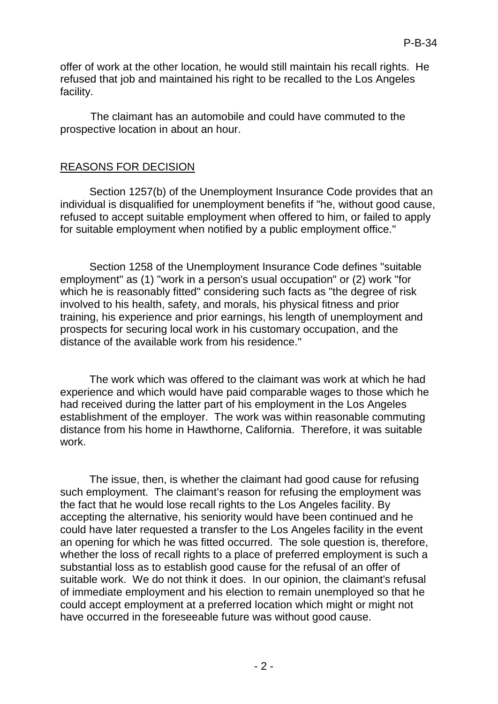offer of work at the other location, he would still maintain his recall rights. He refused that job and maintained his right to be recalled to the Los Angeles facility.

The claimant has an automobile and could have commuted to the prospective location in about an hour.

### REASONS FOR DECISION

Section 1257(b) of the Unemployment Insurance Code provides that an individual is disqualified for unemployment benefits if "he, without good cause, refused to accept suitable employment when offered to him, or failed to apply for suitable employment when notified by a public employment office."

Section 1258 of the Unemployment Insurance Code defines "suitable employment" as (1) "work in a person's usual occupation" or (2) work "for which he is reasonably fitted" considering such facts as "the degree of risk involved to his health, safety, and morals, his physical fitness and prior training, his experience and prior earnings, his length of unemployment and prospects for securing local work in his customary occupation, and the distance of the available work from his residence."

The work which was offered to the claimant was work at which he had experience and which would have paid comparable wages to those which he had received during the latter part of his employment in the Los Angeles establishment of the employer. The work was within reasonable commuting distance from his home in Hawthorne, California. Therefore, it was suitable work.

The issue, then, is whether the claimant had good cause for refusing such employment. The claimant's reason for refusing the employment was the fact that he would lose recall rights to the Los Angeles facility. By accepting the alternative, his seniority would have been continued and he could have later requested a transfer to the Los Angeles facility in the event an opening for which he was fitted occurred. The sole question is, therefore, whether the loss of recall rights to a place of preferred employment is such a substantial loss as to establish good cause for the refusal of an offer of suitable work. We do not think it does. In our opinion, the claimant's refusal of immediate employment and his election to remain unemployed so that he could accept employment at a preferred location which might or might not have occurred in the foreseeable future was without good cause.